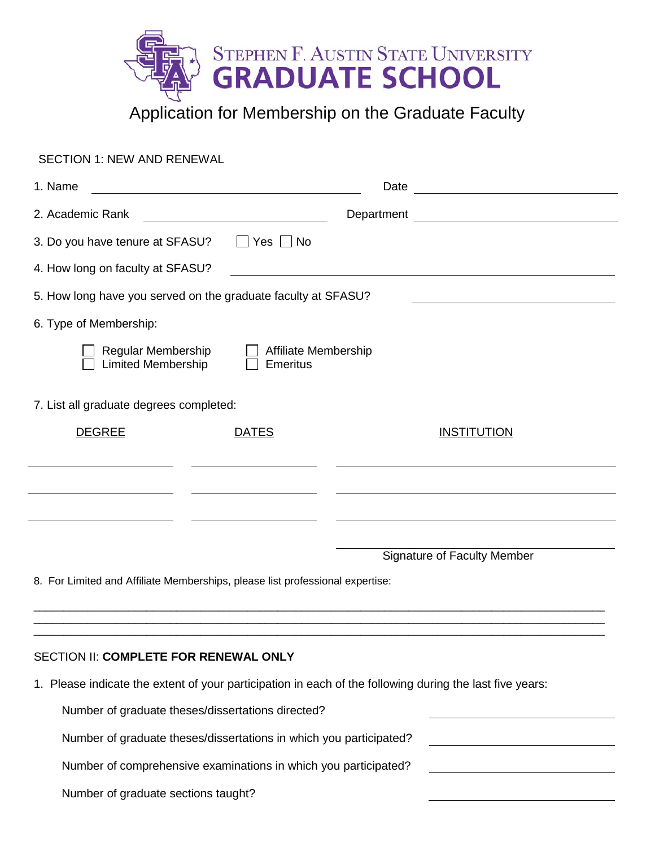

SECTION 1: NEW AND RENEWAL 1. Name Date by the Contract of the Contract of the Date Date Date of the Date of the Contract of the Date of the Contract of the Contract of the Contract of the Contract of the Contract of the Contract of the Contract of 2. Academic Rank **Department** Department 3. Do you have tenure at SFASU?  $\Box$  Yes  $\Box$  No 4. How long on faculty at SFASU? 5. How long have you served on the graduate faculty at SFASU? 6. Type of Membership: Regular Membership Affiliate Membership  $\Box$  Limited Membership  $\Box$  Emeritus 7. List all graduate degrees completed: DEGREE DATES INSTITUTION Signature of Faculty Member 8. For Limited and Affiliate Memberships, please list professional expertise:

## SECTION II: **COMPLETE FOR RENEWAL ONLY**

1. Please indicate the extent of your participation in each of the following during the last five years:

\_\_\_\_\_\_\_\_\_\_\_\_\_\_\_\_\_\_\_\_\_\_\_\_\_\_\_\_\_\_\_\_\_\_\_\_\_\_\_\_\_\_\_\_\_\_\_\_\_\_\_\_\_\_\_\_\_\_\_\_\_\_\_\_\_\_\_\_\_\_\_\_\_\_\_\_\_\_\_\_\_\_\_\_\_\_\_\_\_\_\_\_\_\_\_\_ \_\_\_\_\_\_\_\_\_\_\_\_\_\_\_\_\_\_\_\_\_\_\_\_\_\_\_\_\_\_\_\_\_\_\_\_\_\_\_\_\_\_\_\_\_\_\_\_\_\_\_\_\_\_\_\_\_\_\_\_\_\_\_\_\_\_\_\_\_\_\_\_\_\_\_\_\_\_\_\_\_\_\_\_\_\_\_\_\_\_\_\_\_\_\_\_ \_\_\_\_\_\_\_\_\_\_\_\_\_\_\_\_\_\_\_\_\_\_\_\_\_\_\_\_\_\_\_\_\_\_\_\_\_\_\_\_\_\_\_\_\_\_\_\_\_\_\_\_\_\_\_\_\_\_\_\_\_\_\_\_\_\_\_\_\_\_\_\_\_\_\_\_\_\_\_\_\_\_\_\_\_\_\_\_\_\_\_\_\_\_\_\_

Number of graduate theses/dissertations directed?

Number of graduate theses/dissertations in which you participated?

Number of comprehensive examinations in which you participated?

Number of graduate sections taught?